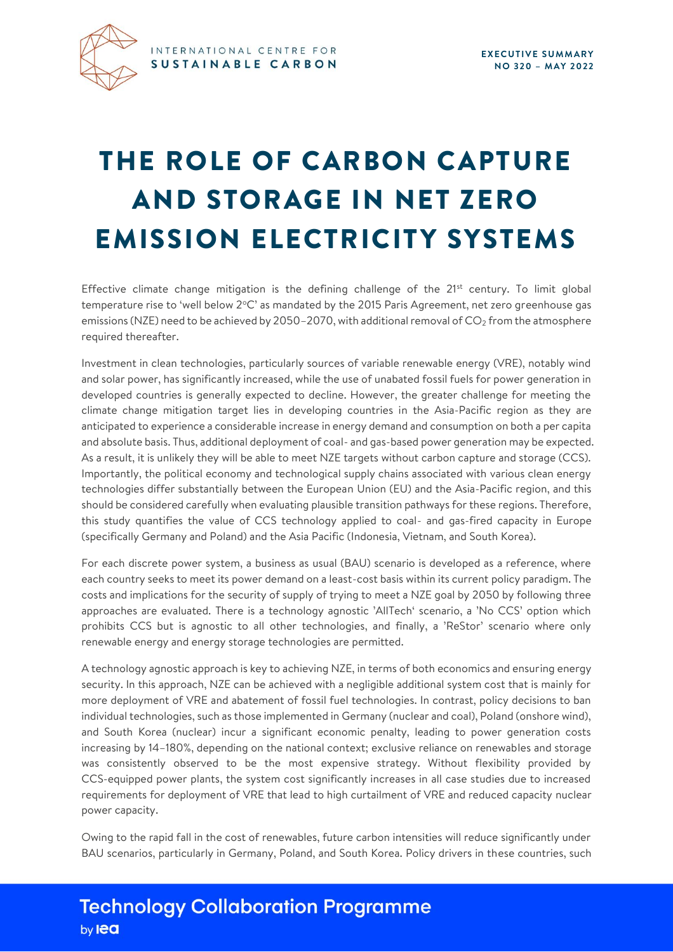

## THE ROLE OF CARBON CAPTURE AND STORAGE IN NET ZERO **EMISSION ELECTRICITY SYSTEMS**

Effective climate change mitigation is the defining challenge of the  $21^{st}$  century. To limit global temperature rise to 'well below 2°C' as mandated by the 2015 Paris Agreement, net zero greenhouse gas emissions (NZE) need to be achieved by 2050–2070, with additional removal of  $CO<sub>2</sub>$  from the atmosphere required thereafter.

Investment in clean technologies, particularly sources of variable renewable energy (VRE), notably wind and solar power, has significantly increased, while the use of unabated fossil fuels for power generation in developed countries is generally expected to decline. However, the greater challenge for meeting the climate change mitigation target lies in developing countries in the Asia-Pacific region as they are anticipated to experience a considerable increase in energy demand and consumption on both a per capita and absolute basis. Thus, additional deployment of coal- and gas-based power generation may be expected. As a result, it is unlikely they will be able to meet NZE targets without carbon capture and storage (CCS). Importantly, the political economy and technological supply chains associated with various clean energy technologies differ substantially between the European Union (EU) and the Asia-Pacific region, and this should be considered carefully when evaluating plausible transition pathways for these regions. Therefore, this study quantifies the value of CCS technology applied to coal- and gas-fired capacity in Europe (specifically Germany and Poland) and the Asia Pacific (Indonesia, Vietnam, and South Korea).

For each discrete power system, a business as usual (BAU) scenario is developed as a reference, where each country seeks to meet its power demand on a least-cost basis within its current policy paradigm. The costs and implications for the security of supply of trying to meet a NZE goal by 2050 by following three approaches are evaluated. There is a technology agnostic 'AllTech' scenario, a 'No CCS' option which prohibits CCS but is agnostic to all other technologies, and finally, a 'ReStor' scenario where only renewable energy and energy storage technologies are permitted.

A technology agnostic approach is key to achieving NZE, in terms of both economics and ensuring energy security. In this approach, NZE can be achieved with a negligible additional system cost that is mainly for more deployment of VRE and abatement of fossil fuel technologies. In contrast, policy decisions to ban individual technologies, such as those implemented in Germany (nuclear and coal), Poland (onshore wind), and South Korea (nuclear) incur a significant economic penalty, leading to power generation costs increasing by 14–180%, depending on the national context; exclusive reliance on renewables and storage was consistently observed to be the most expensive strategy. Without flexibility provided by CCS-equipped power plants, the system cost significantly increases in all case studies due to increased requirements for deployment of VRE that lead to high curtailment of VRE and reduced capacity nuclear power capacity.

Owing to the rapid fall in the cost of renewables, future carbon intensities will reduce significantly under BAU scenarios, particularly in Germany, Poland, and South Korea. Policy drivers in these countries, such

## **Technology Collaboration Programme** by lea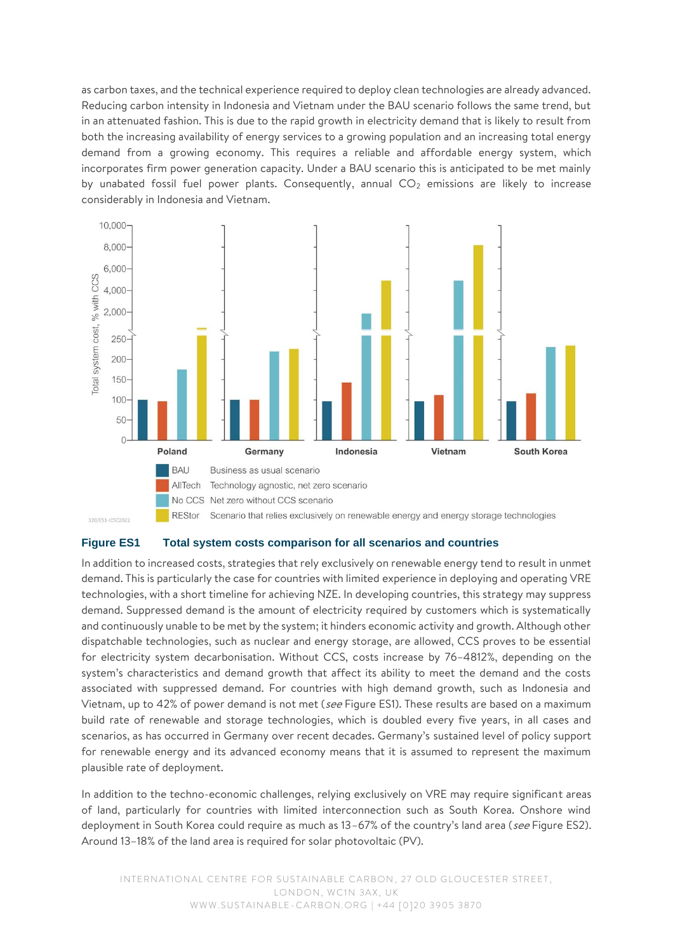as carbon taxes, and the technical experience required to deploy clean technologies are already advanced. Reducing carbon intensity in Indonesia and Vietnam under the BAU scenario follows the same trend, but in an attenuated fashion. This is due to the rapid growth in electricity demand that is likely to result from both the increasing availability of energy services to a growing population and an increasing total energy demand from a growing economy. This requires a reliable and affordable energy system, which incorporates firm power generation capacity. Under a BAU scenario this is anticipated to be met mainly by unabated fossil fuel power plants. Consequently, annual  $CO<sub>2</sub>$  emissions are likely to increase considerably in Indonesia and Vietnam.



## **Figure ES1 Total system costs comparison for all scenarios and countries**

In addition to increased costs, strategies that rely exclusively on renewable energy tend to result in unmet demand. This is particularly the case for countries with limited experience in deploying and operating VRE technologies, with a short timeline for achieving NZE. In developing countries, this strategy may suppress demand. Suppressed demand is the amount of electricity required by customers which is systematically and continuously unable to be met by the system; it hinders economic activity and growth. Although other dispatchable technologies, such as nuclear and energy storage, are allowed, CCS proves to be essential for electricity system decarbonisation. Without CCS, costs increase by 76–4812%, depending on the system's characteristics and demand growth that affect its ability to meet the demand and the costs associated with suppressed demand. For countries with high demand growth, such as Indonesia and Vietnam, up to 42% of power demand is not met (see Figure ES1). These results are based on a maximum build rate of renewable and storage technologies, which is doubled every five years, in all cases and scenarios, as has occurred in Germany over recent decades. Germany's sustained level of policy support for renewable energy and its advanced economy means that it is assumed to represent the maximum plausible rate of deployment.

In addition to the techno-economic challenges, relying exclusively on VRE may require significant areas of land, particularly for countries with limited interconnection such as South Korea. Onshore wind deployment in South Korea could require as much as 13-67% of the country's land area (see Figure ES2). Around 13–18% of the land area is required for solar photovoltaic (PV).